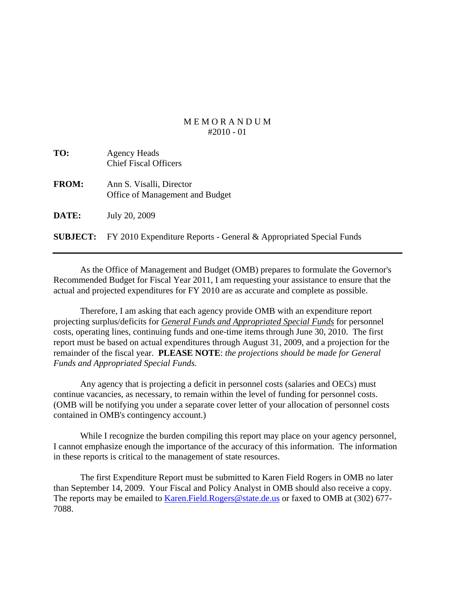## M E M O R A N D U M  $\#2010 - 01$

| TO:             | <b>Agency Heads</b><br><b>Chief Fiscal Officers</b>                |
|-----------------|--------------------------------------------------------------------|
| <b>FROM:</b>    | Ann S. Visalli, Director<br>Office of Management and Budget        |
| <b>DATE:</b>    | July 20, 2009                                                      |
| <b>SUBJECT:</b> | FY 2010 Expenditure Reports - General & Appropriated Special Funds |

 As the Office of Management and Budget (OMB) prepares to formulate the Governor's Recommended Budget for Fiscal Year 2011, I am requesting your assistance to ensure that the actual and projected expenditures for FY 2010 are as accurate and complete as possible.

 Therefore, I am asking that each agency provide OMB with an expenditure report projecting surplus/deficits for *General Funds and Appropriated Special Funds* for personnel costs, operating lines, continuing funds and one-time items through June 30, 2010. The first report must be based on actual expenditures through August 31, 2009, and a projection for the remainder of the fiscal year. **PLEASE NOTE**: *the projections should be made for General Funds and Appropriated Special Funds.* 

 Any agency that is projecting a deficit in personnel costs (salaries and OECs) must continue vacancies, as necessary, to remain within the level of funding for personnel costs. (OMB will be notifying you under a separate cover letter of your allocation of personnel costs contained in OMB's contingency account.)

 While I recognize the burden compiling this report may place on your agency personnel, I cannot emphasize enough the importance of the accuracy of this information. The information in these reports is critical to the management of state resources.

 The first Expenditure Report must be submitted to Karen Field Rogers in OMB no later than September 14, 2009. Your Fiscal and Policy Analyst in OMB should also receive a copy. The reports may be emailed to Karen. Field. Rogers@state.de.us or faxed to OMB at (302) 677-7088.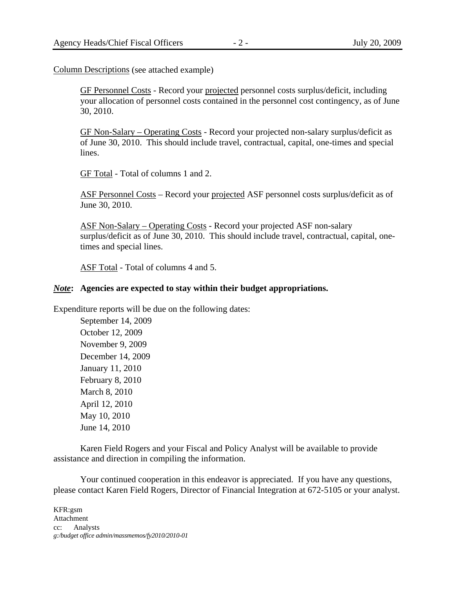Column Descriptions (see attached example)

 GF Personnel Costs - Record your projected personnel costs surplus/deficit, including your allocation of personnel costs contained in the personnel cost contingency, as of June 30, 2010.

 GF Non-Salary – Operating Costs - Record your projected non-salary surplus/deficit as of June 30, 2010. This should include travel, contractual, capital, one-times and special lines.

GF Total - Total of columns 1 and 2.

 ASF Personnel Costs – Record your projected ASF personnel costs surplus/deficit as of June 30, 2010.

 ASF Non-Salary – Operating Costs - Record your projected ASF non-salary surplus/deficit as of June 30, 2010. This should include travel, contractual, capital, onetimes and special lines.

ASF Total - Total of columns 4 and 5.

## *Note***: Agencies are expected to stay within their budget appropriations.**

Expenditure reports will be due on the following dates:

 September 14, 2009 October 12, 2009 November 9, 2009 December 14, 2009 January 11, 2010 February 8, 2010 March 8, 2010 April 12, 2010 May 10, 2010 June 14, 2010

 Karen Field Rogers and your Fiscal and Policy Analyst will be available to provide assistance and direction in compiling the information.

 Your continued cooperation in this endeavor is appreciated. If you have any questions, please contact Karen Field Rogers, Director of Financial Integration at 672-5105 or your analyst.

KFR:gsm Attachment cc: Analysts *g:/budget office admin/massmemos/fy2010/2010-01*